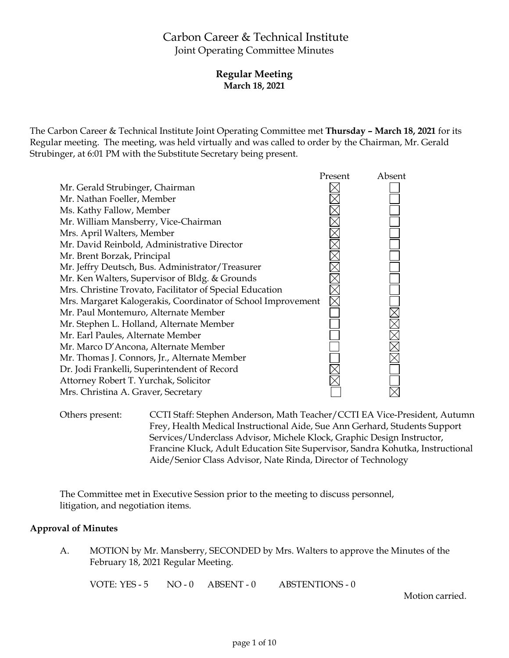# Carbon Career & Technical Institute Joint Operating Committee Minutes

### **Regular Meeting March 18, 2021**

The Carbon Career & Technical Institute Joint Operating Committee met **Thursday – March 18, 2021** for its Regular meeting. The meeting, was held virtually and was called to order by the Chairman, Mr. Gerald Strubinger, at 6:01 PM with the Substitute Secretary being present.



Others present: CCTI Staff: Stephen Anderson, Math Teacher/CCTI EA Vice-President, Autumn Frey, Health Medical Instructional Aide, Sue Ann Gerhard, Students Support Services/Underclass Advisor, Michele Klock, Graphic Design Instructor, Francine Kluck, Adult Education Site Supervisor, Sandra Kohutka, Instructional Aide/Senior Class Advisor, Nate Rinda, Director of Technology

The Committee met in Executive Session prior to the meeting to discuss personnel, litigation, and negotiation items.

# **Approval of Minutes**

A. MOTION by Mr. Mansberry, SECONDED by Mrs. Walters to approve the Minutes of the February 18, 2021 Regular Meeting.

VOTE: YES - 5 NO - 0 ABSENT - 0 ABSTENTIONS - 0

Motion carried.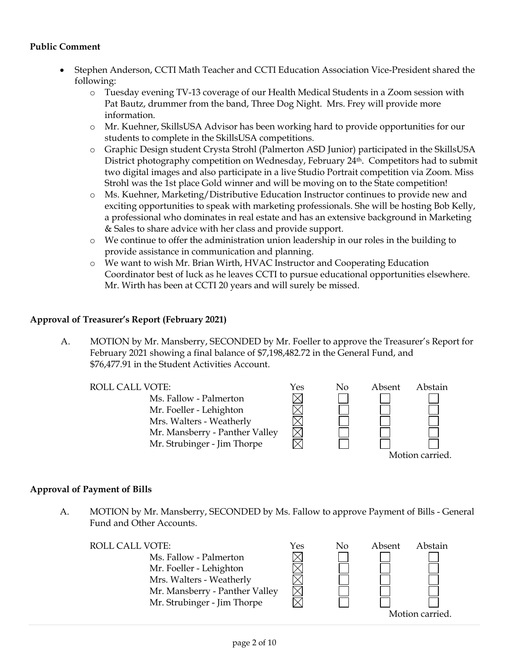#### **Public Comment**

- Stephen Anderson, CCTI Math Teacher and CCTI Education Association Vice-President shared the following:
	- o Tuesday evening TV-13 coverage of our Health Medical Students in a Zoom session with Pat Bautz, drummer from the band, Three Dog Night. Mrs. Frey will provide more information.
	- o Mr. Kuehner, SkillsUSA Advisor has been working hard to provide opportunities for our students to complete in the SkillsUSA competitions.
	- o Graphic Design student Crysta Strohl (Palmerton ASD Junior) participated in the SkillsUSA District photography competition on Wednesday, February 24th. Competitors had to submit two digital images and also participate in a live Studio Portrait competition via Zoom. Miss Strohl was the 1st place Gold winner and will be moving on to the State competition!
	- o Ms. Kuehner, Marketing/Distributive Education Instructor continues to provide new and exciting opportunities to speak with marketing professionals. She will be hosting Bob Kelly, a professional who dominates in real estate and has an extensive background in Marketing & Sales to share advice with her class and provide support.
	- o We continue to offer the administration union leadership in our roles in the building to provide assistance in communication and planning.
	- o We want to wish Mr. Brian Wirth, HVAC Instructor and Cooperating Education Coordinator best of luck as he leaves CCTI to pursue educational opportunities elsewhere. Mr. Wirth has been at CCTI 20 years and will surely be missed.

#### **Approval of Treasurer's Report (February 2021)**

A. MOTION by Mr. Mansberry, SECONDED by Mr. Foeller to approve the Treasurer's Report for February 2021 showing a final balance of \$7,198,482.72 in the General Fund, and \$76,477.91 in the Student Activities Account.

Ms. Fallow - Palmerton Mr. Foeller - Lehighton Mrs. Walters - Weatherly Mr. Mansberry - Panther Valley Mr. Strubinger - Jim Thorpe



#### **Approval of Payment of Bills**

A. MOTION by Mr. Mansberry, SECONDED by Ms. Fallow to approve Payment of Bills - General Fund and Other Accounts.

| <b>ROLL CALL VOTE:</b>         | Yes | No | Absent | Abstain        |
|--------------------------------|-----|----|--------|----------------|
| Ms. Fallow - Palmerton         |     |    |        |                |
| Mr. Foeller - Lehighton        |     |    |        |                |
| Mrs. Walters - Weatherly       |     |    |        |                |
| Mr. Mansberry - Panther Valley |     |    |        |                |
| Mr. Strubinger - Jim Thorpe    |     |    |        |                |
|                                |     |    |        | Motion carried |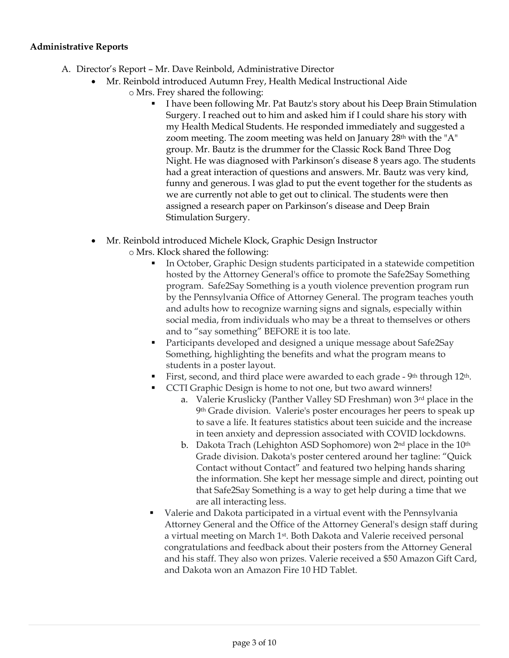#### **Administrative Reports**

- A. Director's Report Mr. Dave Reinbold, Administrative Director
	- Mr. Reinbold introduced Autumn Frey, Health Medical Instructional Aide
		- o Mrs. Frey shared the following:
			- I have been following Mr. Pat Bautz's story about his Deep Brain Stimulation Surgery. I reached out to him and asked him if I could share his story with my Health Medical Students. He responded immediately and suggested a zoom meeting. The zoom meeting was held on January 28th with the "A" group. Mr. Bautz is the drummer for the Classic Rock Band Three Dog Night. He was diagnosed with Parkinson's disease 8 years ago. The students had a great interaction of questions and answers. Mr. Bautz was very kind, funny and generous. I was glad to put the event together for the students as we are currently not able to get out to clinical. The students were then assigned a research paper on Parkinson's disease and Deep Brain Stimulation Surgery.
	- Mr. Reinbold introduced Michele Klock, Graphic Design Instructor
		- o Mrs. Klock shared the following:
			- In October, Graphic Design students participated in a statewide competition hosted by the Attorney General's office to promote the Safe2Say Something program. Safe2Say Something is a youth violence prevention program run by the Pennsylvania Office of Attorney General. The program teaches youth and adults how to recognize warning signs and signals, especially within social media, from individuals who may be a threat to themselves or others and to "say something" BEFORE it is too late.
			- Participants developed and designed a unique message about Safe2Say Something, highlighting the benefits and what the program means to students in a poster layout.
			- First, second, and third place were awarded to each grade 9<sup>th</sup> through 12<sup>th</sup>.
			- CCTI Graphic Design is home to not one, but two award winners!
				- a. Valerie Kruslicky (Panther Valley SD Freshman) won 3rd place in the 9th Grade division. Valerie's poster encourages her peers to speak up to save a life. It features statistics about teen suicide and the increase in teen anxiety and depression associated with COVID lockdowns.
				- b. Dakota Trach (Lehighton ASD Sophomore) won  $2<sup>nd</sup>$  place in the  $10<sup>th</sup>$ Grade division. Dakota's poster centered around her tagline: "Quick Contact without Contact" and featured two helping hands sharing the information. She kept her message simple and direct, pointing out that Safe2Say Something is a way to get help during a time that we are all interacting less.
			- Valerie and Dakota participated in a virtual event with the Pennsylvania Attorney General and the Office of the Attorney General's design staff during a virtual meeting on March 1st. Both Dakota and Valerie received personal congratulations and feedback about their posters from the Attorney General and his staff. They also won prizes. Valerie received a \$50 Amazon Gift Card, and Dakota won an Amazon Fire 10 HD Tablet.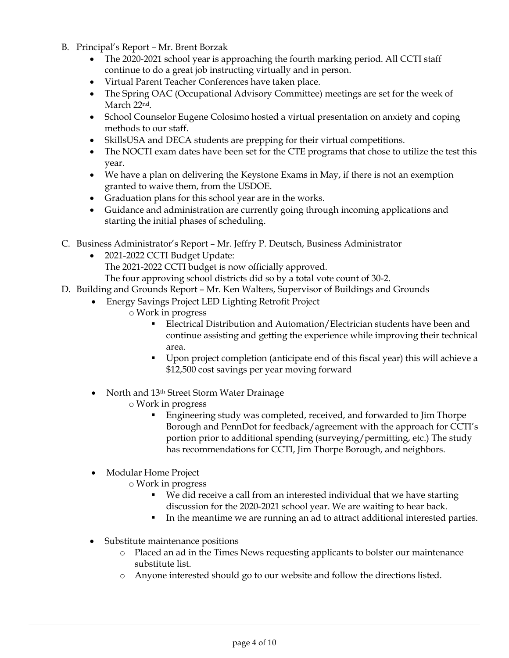- B. Principal's Report Mr. Brent Borzak
	- The 2020-2021 school year is approaching the fourth marking period. All CCTI staff continue to do a great job instructing virtually and in person.
	- Virtual Parent Teacher Conferences have taken place.
	- The Spring OAC (Occupational Advisory Committee) meetings are set for the week of March 22nd.
	- School Counselor Eugene Colosimo hosted a virtual presentation on anxiety and coping methods to our staff.
	- SkillsUSA and DECA students are prepping for their virtual competitions.
	- The NOCTI exam dates have been set for the CTE programs that chose to utilize the test this year.
	- We have a plan on delivering the Keystone Exams in May, if there is not an exemption granted to waive them, from the USDOE.
	- Graduation plans for this school year are in the works.
	- Guidance and administration are currently going through incoming applications and starting the initial phases of scheduling.
- C. Business Administrator's Report Mr. Jeffry P. Deutsch, Business Administrator
	- 2021-2022 CCTI Budget Update:
		- The 2021-2022 CCTI budget is now officially approved.
		- The four approving school districts did so by a total vote count of 30-2.
- D. Building and Grounds Report Mr. Ken Walters, Supervisor of Buildings and Grounds
	- Energy Savings Project LED Lighting Retrofit Project
		- o Work in progress
			- Electrical Distribution and Automation/Electrician students have been and continue assisting and getting the experience while improving their technical area.
			- Upon project completion (anticipate end of this fiscal year) this will achieve a \$12,500 cost savings per year moving forward
	- North and 13<sup>th</sup> Street Storm Water Drainage
		- o Work in progress
			- Engineering study was completed, received, and forwarded to Jim Thorpe Borough and PennDot for feedback/agreement with the approach for CCTI's portion prior to additional spending (surveying/permitting, etc.) The study has recommendations for CCTI, Jim Thorpe Borough, and neighbors.
	- Modular Home Project
		- o Work in progress
			- We did receive a call from an interested individual that we have starting discussion for the 2020-2021 school year. We are waiting to hear back.
			- In the meantime we are running an ad to attract additional interested parties.
	- Substitute maintenance positions
		- o Placed an ad in the Times News requesting applicants to bolster our maintenance substitute list.
		- o Anyone interested should go to our website and follow the directions listed.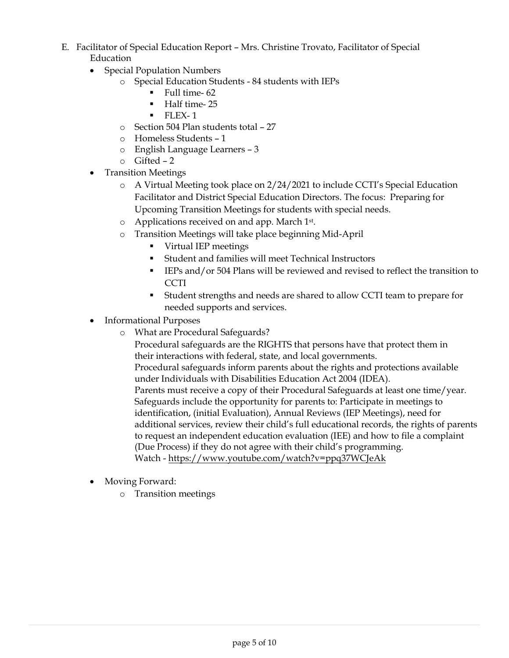- E. Facilitator of Special Education Report Mrs. Christine Trovato, Facilitator of Special Education
	- Special Population Numbers
		- o Special Education Students 84 students with IEPs
			- $\blacksquare$  Full time- 62
			- **Half time-25**
			- $\blacksquare$  FLEX-1
		- o Section 504 Plan students total 27
		- o Homeless Students 1
		- o English Language Learners 3
		- o Gifted 2
	- Transition Meetings
		- o A Virtual Meeting took place on 2/24/2021 to include CCTI's Special Education Facilitator and District Special Education Directors. The focus: Preparing for Upcoming Transition Meetings for students with special needs.
		- o Applications received on and app. March 1st.
		- o Transition Meetings will take place beginning Mid-April
			- Virtual IEP meetings
			- Student and families will meet Technical Instructors
			- IEPs and/or 504 Plans will be reviewed and revised to reflect the transition to CCTI
			- Student strengths and needs are shared to allow CCTI team to prepare for needed supports and services.
	- Informational Purposes
		- o What are Procedural Safeguards?

Procedural safeguards are the RIGHTS that persons have that protect them in their interactions with federal, state, and local governments. Procedural safeguards inform parents about the rights and protections available under Individuals with Disabilities Education Act 2004 (IDEA). Parents must receive a copy of their Procedural Safeguards at least one time/year. Safeguards include the opportunity for parents to: Participate in meetings to identification, (initial Evaluation), Annual Reviews (IEP Meetings), need for additional services, review their child's full educational records, the rights of parents to request an independent education evaluation (IEE) and how to file a complaint (Due Process) if they do not agree with their child's programming. Watch - <https://www.youtube.com/watch?v=ppq37WCJeAk>

- Moving Forward:
	- o Transition meetings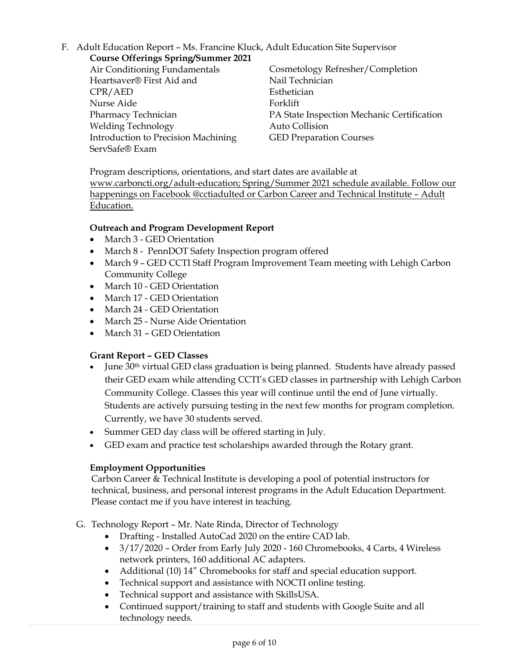# F. Adult Education Report – Ms. Francine Kluck, Adult Education Site Supervisor

**Course Offerings Spring/Summer 2021** Air Conditioning Fundamentals

Heartsaver® First Aid and CPR/AED Nurse Aide Pharmacy Technician Welding Technology Introduction to Precision Machining ServSafe® Exam

Cosmetology Refresher/Completion Nail Technician Esthetician Forklift PA State Inspection Mechanic Certification Auto Collision GED Preparation Courses

Program descriptions, orientations, and start dates are available at [www.carboncti.org/adult-education;](http://www.carboncti.org/adult-education) Spring/Summer 2021 schedule available. Follow our happenings on Facebook @cctiadulted or Carbon Career and Technical Institute – Adult Education.

# **Outreach and Program Development Report**

- March 3 GED Orientation
- March 8 PennDOT Safety Inspection program offered
- March 9 GED CCTI Staff Program Improvement Team meeting with Lehigh Carbon Community College
- March 10 GED Orientation
- March 17 GED Orientation
- March 24 GED Orientation
- March 25 Nurse Aide Orientation
- March 31 GED Orientation

# **Grant Report – GED Classes**

- June 30<sup>th</sup> virtual GED class graduation is being planned. Students have already passed their GED exam while attending CCTI's GED classes in partnership with Lehigh Carbon Community College. Classes this year will continue until the end of June virtually. Students are actively pursuing testing in the next few months for program completion. Currently, we have 30 students served.
- Summer GED day class will be offered starting in July.
- GED exam and practice test scholarships awarded through the Rotary grant.

# **Employment Opportunities**

Carbon Career & Technical Institute is developing a pool of potential instructors for technical, business, and personal interest programs in the Adult Education Department. Please contact me if you have interest in teaching.

- G. Technology Report Mr. Nate Rinda, Director of Technology
	- Drafting Installed AutoCad 2020 on the entire CAD lab.
	- 3/17/2020 Order from Early July 2020 160 Chromebooks, 4 Carts, 4 Wireless network printers, 160 additional AC adapters.
	- Additional (10) 14" Chromebooks for staff and special education support.
	- Technical support and assistance with NOCTI online testing.
	- Technical support and assistance with SkillsUSA.
	- Continued support/training to staff and students with Google Suite and all technology needs.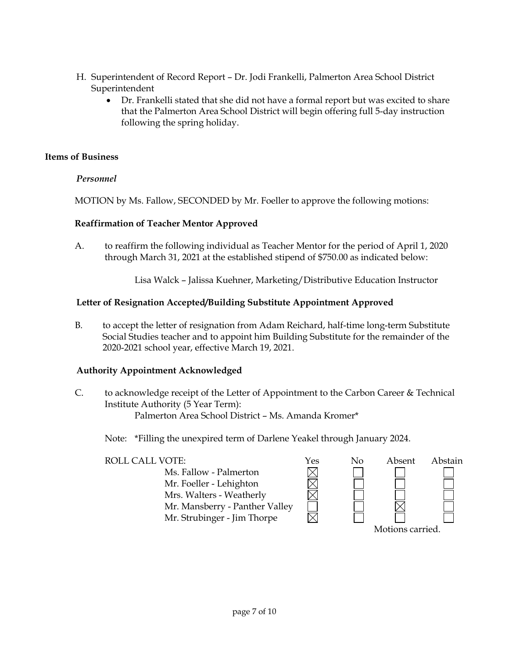- H. Superintendent of Record Report Dr. Jodi Frankelli, Palmerton Area School District Superintendent
	- Dr. Frankelli stated that she did not have a formal report but was excited to share that the Palmerton Area School District will begin offering full 5-day instruction following the spring holiday.

### **Items of Business**

### *Personnel*

MOTION by Ms. Fallow, SECONDED by Mr. Foeller to approve the following motions:

### **Reaffirmation of Teacher Mentor Approved**

A. to reaffirm the following individual as Teacher Mentor for the period of April 1, 2020 through March 31, 2021 at the established stipend of \$750.00 as indicated below:

Lisa Walck – Jalissa Kuehner, Marketing/Distributive Education Instructor

#### **Letter of Resignation Accepted/Building Substitute Appointment Approved**

B. to accept the letter of resignation from Adam Reichard, half-time long-term Substitute Social Studies teacher and to appoint him Building Substitute for the remainder of the 2020-2021 school year, effective March 19, 2021.

# **Authority Appointment Acknowledged**

C. to acknowledge receipt of the Letter of Appointment to the Carbon Career & Technical Institute Authority (5 Year Term): Palmerton Area School District – Ms. Amanda Kromer\*

Note: \*Filling the unexpired term of Darlene Yeakel through January 2024.

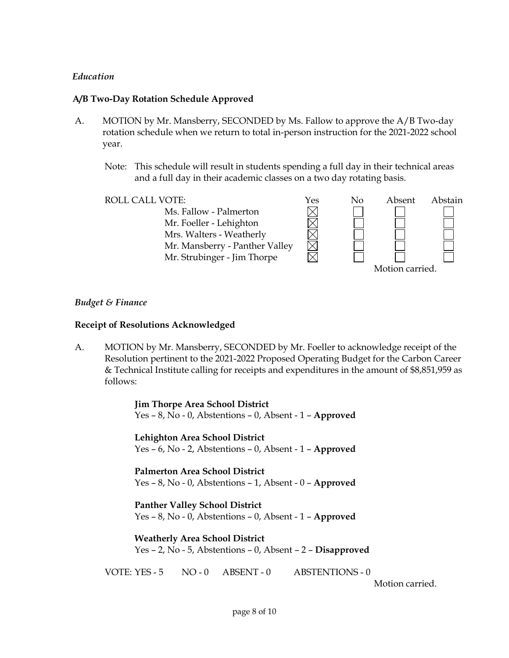#### *Education*

#### **A/B Two-Day Rotation Schedule Approved**

- A. MOTION by Mr. Mansberry, SECONDED by Ms. Fallow to approve the A/B Two-day rotation schedule when we return to total in-person instruction for the 2021-2022 school year.
	- Note: This schedule will result in students spending a full day in their technical areas and a full day in their academic classes on a two day rotating basis.



#### *Budget & Finance*

#### **Receipt of Resolutions Acknowledged**

A. MOTION by Mr. Mansberry, SECONDED by Mr. Foeller to acknowledge receipt of the Resolution pertinent to the 2021-2022 Proposed Operating Budget for the Carbon Career & Technical Institute calling for receipts and expenditures in the amount of \$8,851,959 as follows:

> **Jim Thorpe Area School District** Yes – 8, No - 0, Abstentions – 0, Absent - 1 – **Approved**

> **Lehighton Area School District** Yes – 6, No - 2, Abstentions – 0, Absent - 1 – **Approved**

> **Palmerton Area School District** Yes – 8, No - 0, Abstentions – 1, Absent - 0 – **Approved**

> **Panther Valley School District** Yes – 8, No - 0, Abstentions – 0, Absent - 1 – **Approved**

**Weatherly Area School District** Yes – 2, No - 5, Abstentions – 0, Absent – 2 – **Disapproved**

VOTE: YES - 5 NO - 0 ABSENT - 0 ABSTENTIONS - 0

Motion carried.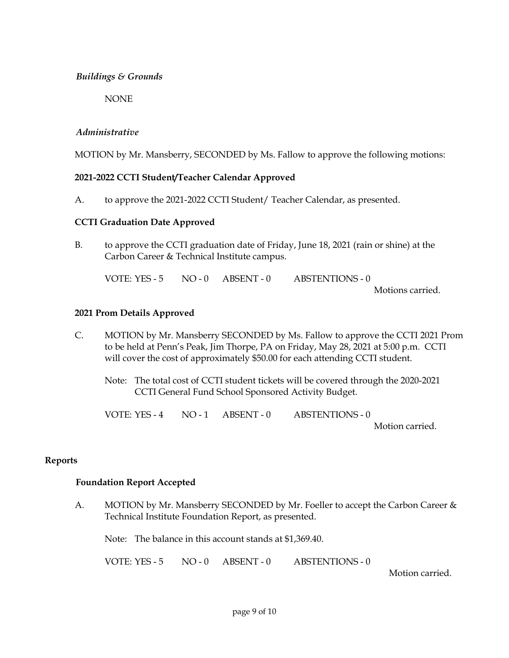#### *Buildings & Grounds*

NONE

#### *Administrative*

MOTION by Mr. Mansberry, SECONDED by Ms. Fallow to approve the following motions:

#### **2021-2022 CCTI Student/Teacher Calendar Approved**

A. to approve the 2021-2022 CCTI Student/ Teacher Calendar, as presented.

#### **CCTI Graduation Date Approved**

B. to approve the CCTI graduation date of Friday, June 18, 2021 (rain or shine) at the Carbon Career & Technical Institute campus.

VOTE: YES - 5 NO - 0 ABSENT - 0 ABSTENTIONS - 0 Motions carried.

#### **2021 Prom Details Approved**

- C. MOTION by Mr. Mansberry SECONDED by Ms. Fallow to approve the CCTI 2021 Prom to be held at Penn's Peak, Jim Thorpe, PA on Friday, May 28, 2021 at 5:00 p.m. CCTI will cover the cost of approximately \$50.00 for each attending CCTI student.
	- Note: The total cost of CCTI student tickets will be covered through the 2020-2021 CCTI General Fund School Sponsored Activity Budget.

VOTE: YES - 4 NO - 1 ABSENT - 0 ABSTENTIONS - 0 Motion carried.

#### **Reports**

#### **Foundation Report Accepted**

A. MOTION by Mr. Mansberry SECONDED by Mr. Foeller to accept the Carbon Career & Technical Institute Foundation Report, as presented.

Note: The balance in this account stands at \$1,369.40.

VOTE: YES - 5 NO - 0 ABSENT - 0 ABSTENTIONS - 0

Motion carried.